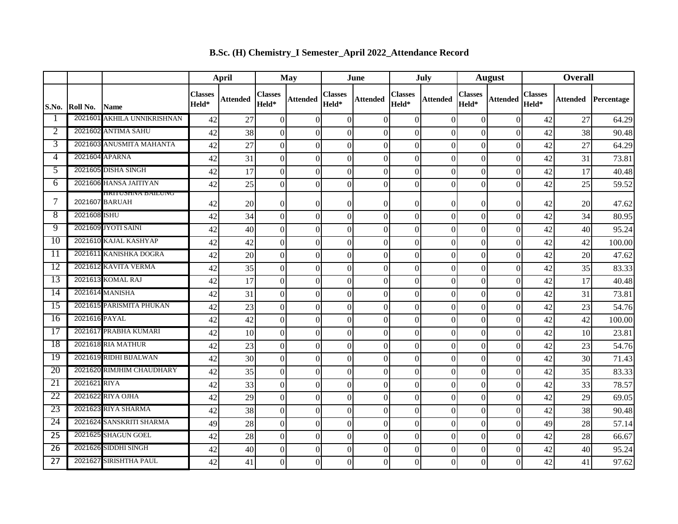|                 |               |                                       | <b>April</b>            |                 | May                     |                  | June                    |                 | July                    |                 | <b>August</b>           |                 | <b>Overall</b>          |                 |            |
|-----------------|---------------|---------------------------------------|-------------------------|-----------------|-------------------------|------------------|-------------------------|-----------------|-------------------------|-----------------|-------------------------|-----------------|-------------------------|-----------------|------------|
| S.No.           | Roll No.      | <b>Name</b>                           | <b>Classes</b><br>Held* | <b>Attended</b> | <b>Classes</b><br>Held* | <b>Attended</b>  | <b>Classes</b><br>Held* | <b>Attended</b> | <b>Classes</b><br>Held* | <b>Attended</b> | <b>Classes</b><br>Held* | <b>Attended</b> | <b>Classes</b><br>Held* | <b>Attended</b> | Percentage |
|                 |               | 2021601 AKHILA UNNIKRISHNAN           | 42                      | 27              | $\theta$                | $\Omega$         | $\theta$                | $\Omega$        | $\Omega$                | $\Omega$        | $\Omega$                | $\Omega$        | 42                      | 27              | 64.29      |
| 2               |               | 2021602 ANTIMA SAHU                   | 42                      | 38              | $\overline{0}$          | $\overline{0}$   | $\overline{0}$          | $\Omega$        | $\overline{0}$          | $\Omega$        | $\overline{0}$          | $\overline{0}$  | 42                      | 38              | 90.48      |
| 3               |               | 2021603 ANUSMITA MAHANTA              | 42                      | 27              | $\overline{0}$          | $\overline{0}$   | $\theta$                | $\theta$        | $\overline{0}$          | $\Omega$        | $\overline{0}$          | $\Omega$        | 42                      | 27              | 64.29      |
| 4               |               | 2021604 APARNA                        | 42                      | 31              | $\vert 0 \vert$         | $\overline{0}$   | $\theta$                | $\theta$        | $\mathbf{0}$            | $\Omega$        | $\overline{0}$          | $\theta$        | 42                      | 31              | 73.81      |
| 5               |               | 2021605 DISHA SINGH                   | 42                      | 17              | $\overline{0}$          | $\boldsymbol{0}$ | $\boldsymbol{0}$        | $\theta$        | $\mathbf{0}$            | $\Omega$        | $\mathbf{0}$            | $\overline{0}$  | 42                      | 17              | 40.48      |
| 6               |               | 2021606 HANSA JAITIYAN                | 42                      | 25              | $\overline{0}$          | $\overline{0}$   | $\overline{0}$          | $\Omega$        | $\Omega$                | $\Omega$        | $\overline{0}$          | $\overline{0}$  | 42                      | 25              | 59.52      |
| 7               |               | HKITUSHINA BAILUINU<br>2021607 BARUAH | 42                      | 20              | $\overline{0}$          | $\overline{0}$   | $\theta$                | $\Omega$        | $\Omega$                | $\Omega$        | $\Omega$                | $\Omega$        | 42                      | 20              | 47.62      |
| 8               | 2021608 ISHU  |                                       | 42                      | 34              | $\vert 0 \vert$         | $\boldsymbol{0}$ | $\overline{0}$          | $\theta$        | $\mathbf{0}$            | $\theta$        | $\overline{0}$          | $\overline{0}$  | 42                      | 34              | 80.95      |
| 9               |               | 2021609 JYOTI SAINI                   | 42                      | 40              | $\overline{0}$          | $\boldsymbol{0}$ | $\overline{0}$          | $\Omega$        | $\overline{0}$          | $\Omega$        | $\Omega$                | $\overline{0}$  | 42                      | 40              | 95.24      |
| 10              |               | 2021610 KAJAL KASHYAP                 | 42                      | 42              | $\overline{0}$          | $\Omega$         | $\theta$                | $\Omega$        | $\Omega$                | $\Omega$        | $\mathbf{0}$            | $\overline{0}$  | 42                      | 42              | 100.00     |
| $\overline{11}$ |               | 2021611 KANISHKA DOGRA                | 42                      | 20              | $\overline{0}$          | $\overline{0}$   | $\overline{0}$          | $\Omega$        | $\overline{0}$          | $\Omega$        | $\overline{0}$          | $\vert 0 \vert$ | 42                      | 20              | 47.62      |
| 12              |               | 2021612 KAVITA VERMA                  | 42                      | 35              | $\overline{0}$          | $\overline{0}$   | $\theta$                | $\Omega$        | $\Omega$                | $\Omega$        | $\mathbf{0}$            | $\overline{0}$  | 42                      | 35              | 83.33      |
| 13              |               | 2021613 KOMAL RAJ                     | 42                      | 17              | $\overline{0}$          | $\boldsymbol{0}$ | $\overline{0}$          | $\theta$        | $\overline{0}$          | $\Omega$        | $\Omega$                | $\overline{0}$  | 42                      | 17              | 40.48      |
| 14              |               | 2021614 MANISHA                       | 42                      | 31              | $\overline{0}$          | $\boldsymbol{0}$ | $\boldsymbol{0}$        | $\theta$        | $\overline{0}$          | $\Omega$        | $\mathbf{0}$            | $\overline{0}$  | 42                      | 31              | 73.81      |
| $\overline{15}$ |               | 2021615 PARISMITA PHUKAN              | 42                      | 23              | $\vert 0 \vert$         | $\overline{0}$   | $\overline{0}$          | $\theta$        | $\mathbf{0}$            | $\Omega$        | $\overline{0}$          | $\overline{0}$  | 42                      | 23              | 54.76      |
| 16              | 2021616 PAYAL |                                       | 42                      | 42              | $\overline{0}$          | $\overline{0}$   | $\boldsymbol{0}$        | $\theta$        | $\theta$                | $\Omega$        | $\mathbf{0}$            | $\overline{0}$  | 42                      | 42              | 100.00     |
| 17              |               | 2021617 PRABHA KUMARI                 | 42                      | 10              | $\overline{0}$          | $\Omega$         | $\theta$                | $\Omega$        | $\Omega$                | $\Omega$        | $\Omega$                | $\overline{0}$  | 42                      | 10              | 23.81      |
| 18              |               | 2021618 RIA MATHUR                    | 42                      | 23              | $\overline{0}$          | $\boldsymbol{0}$ | $\overline{0}$          | $\theta$        | $\overline{0}$          | $\Omega$        | $\overline{0}$          | $\vert 0 \vert$ | 42                      | 23              | 54.76      |
| 19              |               | 2021619 RIDHI BIJALWAN                | 42                      | 30              | $\overline{0}$          | $\overline{0}$   | $\overline{0}$          | $\Omega$        | $\mathbf{0}$            | $\Omega$        | $\overline{0}$          | $\overline{0}$  | 42                      | 30              | 71.43      |
| 20              |               | 2021620 RIMJHIM CHAUDHARY             | 42                      | 35              | $\overline{0}$          | $\mathbf{0}$     | $\boldsymbol{0}$        | $\theta$        | $\mathbf{0}$            | $\Omega$        | $\overline{0}$          | $\overline{0}$  | 42                      | 35              | 83.33      |
| 21              | 2021621 RIYA  |                                       | 42                      | 33              | $\overline{0}$          | $\overline{0}$   | $\overline{0}$          | $\Omega$        | $\overline{0}$          | $\Omega$        | $\mathbf{0}$            | $\overline{0}$  | 42                      | 33              | 78.57      |
| 22              |               | 2021622 RIYA OJHA                     | 42                      | 29              | $\vert 0 \vert$         | $\overline{0}$   | $\theta$                | $\theta$        | $\mathbf{0}$            | $\Omega$        | $\mathbf{0}$            | $\overline{0}$  | 42                      | 29              | 69.05      |
| 23              |               | 2021623 RIYA SHARMA                   | 42                      | 38              | $\overline{0}$          | $\overline{0}$   | $\theta$                | $\theta$        | $\overline{0}$          | $\Omega$        | $\Omega$                | $\overline{0}$  | 42                      | 38              | 90.48      |
| 24              |               | 2021624 SANSKRITI SHARMA              | 49                      | 28              | $\overline{0}$          | $\overline{0}$   | $\theta$                | $\Omega$        | $\mathbf{0}$            | $\Omega$        | $\overline{0}$          | $\overline{0}$  | 49                      | 28              | 57.14      |
| $\overline{25}$ |               | 2021625 SHAGUN GOEL                   | 42                      | 28              | $\overline{0}$          | $\overline{0}$   | $\overline{0}$          | $\theta$        | $\overline{0}$          | $\Omega$        | $\overline{0}$          | $\vert 0 \vert$ | 42                      | 28              | 66.67      |
| 26              |               | 2021626 SIDDHI SINGH                  | 42                      | 40              | $\vert 0 \vert$         | $\overline{0}$   | $\boldsymbol{0}$        | $\theta$        | $\mathbf{0}$            | $\Omega$        | $\boldsymbol{0}$        | $\overline{0}$  | 42                      | 40              | 95.24      |
| 27              |               | 2021627 SIRISHTHA PAUL                | 42                      | 41              | $\overline{0}$          | $\overline{0}$   | $\overline{0}$          | $\theta$        | $\overline{0}$          | $\vert 0 \vert$ | $\overline{0}$          | $\overline{0}$  | 42                      | 41              | 97.62      |

**B.Sc. (H) Chemistry\_I Semester\_April 2022\_Attendance Record**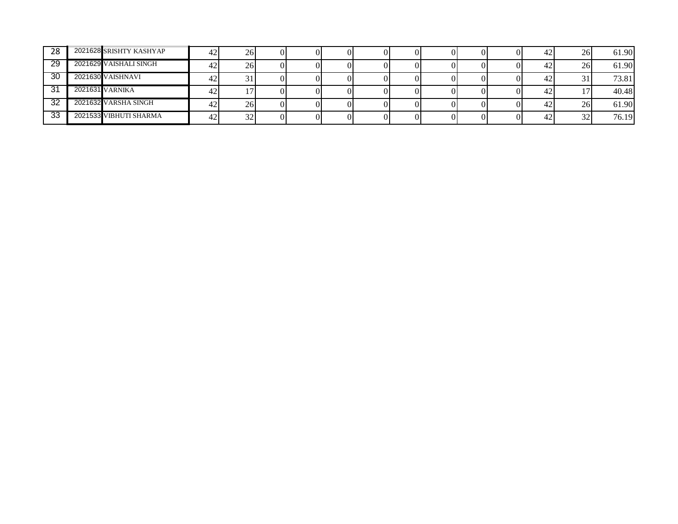| 28  | 2021628 SRISHTY KASHYAP | 261 |  |  |  |  | 42 | 26        | 61.90 |
|-----|-------------------------|-----|--|--|--|--|----|-----------|-------|
| 29  | 2021629 VAISHALI SINGH  | 261 |  |  |  |  | 42 | 26        | 61.90 |
| 30  | 2021630 VAISHNAVI       |     |  |  |  |  | 42 |           | 73.81 |
| 31  | 2021631 VARNIKA         |     |  |  |  |  | 42 |           | 40.48 |
| -32 | 2021632 VARSHA SINGH    | 261 |  |  |  |  | 42 | 26        | 61.90 |
| 33  | 2021533 VIBHUTI SHARMA  | 32  |  |  |  |  | 42 | 22<br>ے ر | 76.19 |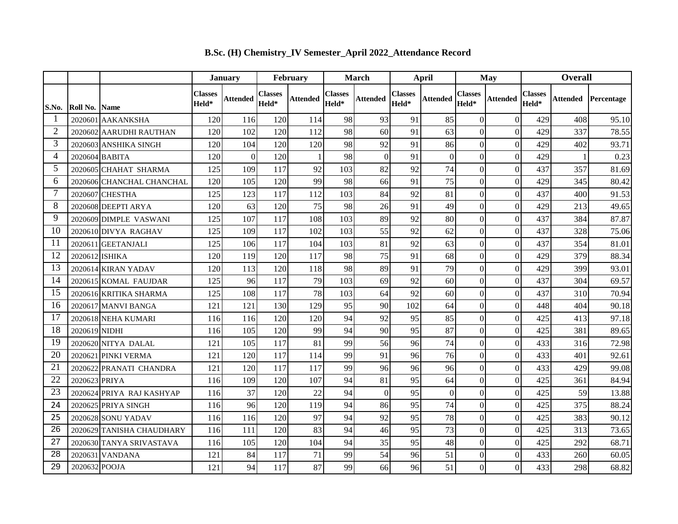|                |                |                           |                         | <b>January</b> |                         | February |                  | <b>March</b> |                         | April          |                         | May              |                  | <b>Overall</b> |            |  |
|----------------|----------------|---------------------------|-------------------------|----------------|-------------------------|----------|------------------|--------------|-------------------------|----------------|-------------------------|------------------|------------------|----------------|------------|--|
| S.No.          | Roll No.       | <b>Name</b>               | <b>Classes</b><br>Held* | Attended       | <b>Classes</b><br>Held* | Attended | Classes<br>Held* | Attended     | <b>Classes</b><br>Held* | Attended       | <b>Classes</b><br>Held* | Attended         | Classes<br>Held* | Attended       | Percentage |  |
| 1              | 2020601        | <b>AAKANKSHA</b>          | 120                     | 116            | 120                     | 114      | 98               | 93           | 91                      | 85             | $\overline{0}$          | $\theta$         | 429              | 408            | 95.10      |  |
| $\overline{2}$ | 2020602        | AARUDHI RAUTHAN           | 120                     | 102            | 120                     | 112      | 98               | 60           | 91                      | 63             | $\overline{0}$          | $\theta$         | 429              | 337            | 78.55      |  |
| 3              |                | 2020603 ANSHIKA SINGH     | 120                     | 104            | 120                     | 120      | 98               | 92           | 91                      | 86             | $\overline{0}$          | $\Omega$         | 429              | 402            | 93.71      |  |
| $\overline{4}$ |                | 2020604 BABITA            | 120                     | $\Omega$       | 120                     |          | 98               | $\Omega$     | 91                      | $\overline{0}$ | $\overline{0}$          | $\boldsymbol{0}$ | 429              |                | 0.23       |  |
| 5              |                | 2020605 CHAHAT SHARMA     | 125                     | 109            | 117                     | 92       | 103              | 82           | 92                      | 74             | $\overline{0}$          | $\boldsymbol{0}$ | 437              | 357            | 81.69      |  |
| 6              |                | 2020606 CHANCHAL CHANCHAL | 120                     | 105            | 120                     | 99       | 98               | 66           | 91                      | 75             | $\overline{0}$          | $\boldsymbol{0}$ | 429              | 345            | 80.42      |  |
| $\overline{7}$ |                | 2020607 CHESTHA           | 125                     | 123            | 117                     | 112      | 103              | 84           | 92                      | 81             | $\overline{0}$          | $\boldsymbol{0}$ | 437              | 400            | 91.53      |  |
| 8              |                | 2020608 DEEPTI ARYA       | 120                     | 63             | 120                     | 75       | 98               | 26           | 91                      | 49             | $\overline{0}$          | $\overline{0}$   | 429              | 213            | 49.65      |  |
| 9              |                | 2020609 DIMPLE VASWANI    | 125                     | 107            | 117                     | 108      | 103              | 89           | 92                      | 80             | $\overline{0}$          | $\overline{0}$   | 437              | 384            | 87.87      |  |
| 10             |                | 2020610 DIVYA RAGHAV      | 125                     | 109            | 117                     | 102      | 103              | 55           | 92                      | 62             | $\overline{0}$          | $\theta$         | 437              | 328            | 75.06      |  |
| 11             |                | 2020611 GEETANJALI        | 125                     | 106            | 117                     | 104      | 103              | 81           | 92                      | 63             | $\overline{0}$          | $\theta$         | 437              | 354            | 81.01      |  |
| 12             | 2020612 ISHIKA |                           | 120                     | 119            | 120                     | 117      | 98               | 75           | 91                      | 68             | $\overline{0}$          | $\boldsymbol{0}$ | 429              | 379            | 88.34      |  |
| 13             |                | 2020614 KIRAN YADAV       | 120                     | 113            | 120                     | 118      | 98               | 89           | 91                      | 79             | $\mathbf{0}$            | $\boldsymbol{0}$ | 429              | 399            | 93.01      |  |
| 14             |                | 2020615 KOMAL FAUJDAR     | 125                     | 96             | 117                     | 79       | 103              | 69           | 92                      | 60             | $\overline{0}$          | $\boldsymbol{0}$ | 437              | 304            | 69.57      |  |
| 15             |                | 2020616 KRITIKA SHARMA    | 125                     | 108            | 117                     | 78       | 103              | 64           | 92                      | 60             | $\overline{0}$          | $\theta$         | 437              | 310            | 70.94      |  |
| 16             |                | 2020617 MANVI BANGA       | 121                     | 121            | 130                     | 129      | 95               | 90           | 102                     | 64             | $\overline{0}$          | $\theta$         | 448              | 404            | 90.18      |  |
| 17             |                | 2020618 NEHA KUMARI       | 116                     | 116            | 120                     | 120      | 94               | 92           | 95                      | 85             | $\overline{0}$          | $\theta$         | 425              | 413            | 97.18      |  |
| 18             | 2020619 NIDHI  |                           | 116                     | 105            | 120                     | 99       | 94               | 90           | 95                      | 87             | $\overline{0}$          | $\boldsymbol{0}$ | 425              | 381            | 89.65      |  |
| 19             |                | 2020620 NITYA DALAL       | 121                     | 105            | 117                     | 81       | 99               | 56           | 96                      | 74             | $\overline{0}$          | $\theta$         | 433              | 316            | 72.98      |  |
| 20             |                | 2020621 PINKI VERMA       | 121                     | 120            | 117                     | 114      | 99               | 91           | 96                      | 76             | $\overline{0}$          | $\overline{0}$   | 433              | 401            | 92.61      |  |
| 21             |                | 2020622 PRANATI CHANDRA   | 121                     | 120            | 117                     | 117      | 99               | 96           | 96                      | 96             | $\overline{0}$          | $\overline{0}$   | 433              | 429            | 99.08      |  |
| 22             | 2020623 PRIYA  |                           | 116                     | 109            | 120                     | 107      | 94               | 81           | 95                      | 64             | $\overline{0}$          | $\overline{0}$   | 425              | 361            | 84.94      |  |
| 23             |                | 2020624 PRIYA RAJ KASHYAP | 116                     | 37             | 120                     | 22       | 94               | $\Omega$     | 95                      | $\Omega$       | $\overline{0}$          | $\theta$         | 425              | 59             | 13.88      |  |
| 24             |                | 2020625 PRIYA SINGH       | 116                     | 96             | 120                     | 119      | 94               | 86           | 95                      | 74             | $\overline{0}$          | $\boldsymbol{0}$ | 425              | 375            | 88.24      |  |
| 25             |                | 2020628 SONU YADAV        | 116                     | 116            | 120                     | 97       | 94               | 92           | 95                      | 78             | $\overline{0}$          | $\boldsymbol{0}$ | 425              | 383            | 90.12      |  |
| 26             |                | 2020629 TANISHA CHAUDHARY | 116                     | 111            | 120                     | 83       | 94               | 46           | 95                      | 73             | $\overline{0}$          | $\theta$         | 425              | 313            | 73.65      |  |
| 27             |                | 2020630 TANYA SRIVASTAVA  | 116                     | 105            | 120                     | 104      | 94               | 35           | 95                      | 48             | $\overline{0}$          | $\overline{0}$   | 425              | 292            | 68.71      |  |
| 28             |                | 2020631 VANDANA           | 121                     | 84             | 117                     | 71       | 99               | 54           | 96                      | 51             | $\overline{0}$          | $\theta$         | 433              | 260            | 60.05      |  |
| 29             | 2020632 POOJA  |                           | 121                     | 94             | 117                     | 87       | 99               | 66           | 96                      | 51             | $\overline{0}$          | $\theta$         | 433              | 298            | 68.82      |  |

**B.Sc. (H) Chemistry\_IV Semester\_April 2022\_Attendance Record**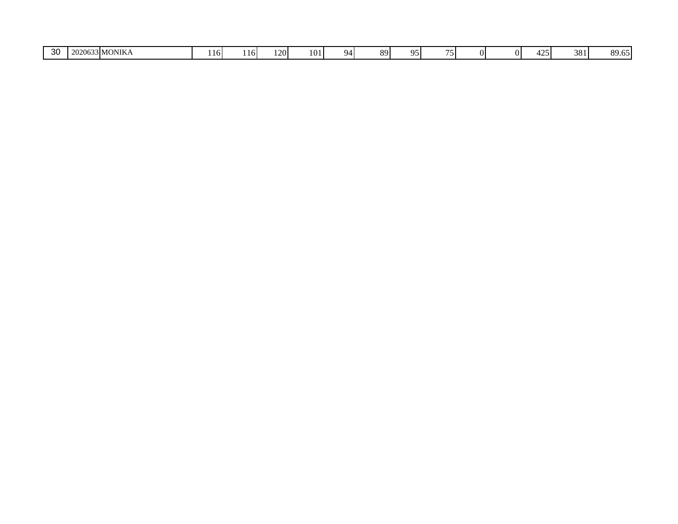| ົດດ<br>3 MONIKA<br>$\Delta$<br>381<br>- -<br>101<br>$\sim$ $\sim$<br>$\overline{89}$<br>OI.<br>Q/<br>.<br>℩≂<br>7 I I<br>10I<br>-JU<br>. ZU -<br>. TO.<br>. |
|-------------------------------------------------------------------------------------------------------------------------------------------------------------|
|-------------------------------------------------------------------------------------------------------------------------------------------------------------|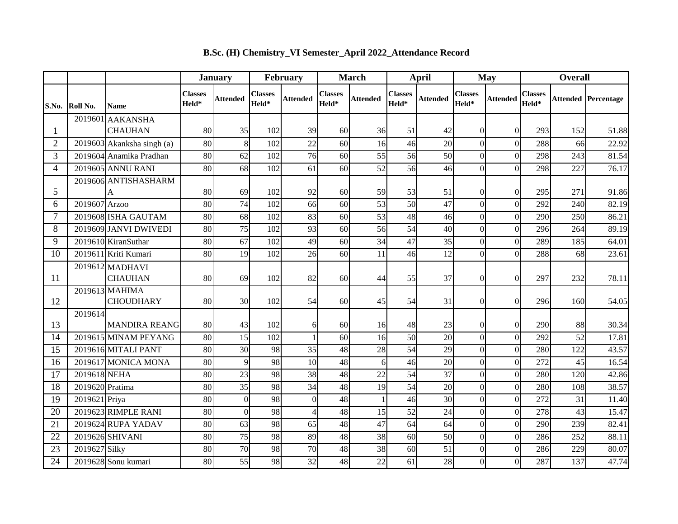|                 |                 |                                         |                         | <b>January</b>  |                         | February        |                         | <b>March</b>    |                         | <b>April</b>    |                         | <b>May</b>      | <b>Overall</b>          |                 |            |
|-----------------|-----------------|-----------------------------------------|-------------------------|-----------------|-------------------------|-----------------|-------------------------|-----------------|-------------------------|-----------------|-------------------------|-----------------|-------------------------|-----------------|------------|
| S.No.           | Roll No.        | <b>Name</b>                             | <b>Classes</b><br>Held* | <b>Attended</b> | <b>Classes</b><br>Held* | <b>Attended</b> | <b>Classes</b><br>Held* | <b>Attended</b> | <b>Classes</b><br>Held* | Attended        | <b>Classes</b><br>Held* | <b>Attended</b> | <b>Classes</b><br>Held* | Attended        | Percentage |
|                 | 2019601         | <b>AAKANSHA</b>                         |                         |                 |                         |                 |                         |                 |                         |                 |                         |                 |                         |                 |            |
| $\mathbf{1}$    |                 | <b>CHAUHAN</b>                          | 80                      | 35              | 102                     | 39              | 60                      | 36              | 51                      | 42              | $\overline{0}$          | $\Omega$        | 293                     | 152             | 51.88      |
| $\overline{2}$  |                 | $\overline{2019603}$ Akanksha singh (a) | 80                      | 8               | 102                     | 22              | 60                      | 16              | 46                      | 20              | $\overline{0}$          | $\overline{0}$  | 288                     | 66              | 22.92      |
| 3               |                 | 2019604 Anamika Pradhan                 | 80                      | 62              | 102                     | 76              | 60                      | 55              | 56                      | $\overline{50}$ | $\overline{0}$          | $\vert 0 \vert$ | 298                     | 243             | 81.54      |
| 4               |                 | 2019605 ANNU RANI                       | 80                      | 68              | 102                     | 61              | 60                      | 52              | 56                      | 46              | $\overline{0}$          | $\Omega$        | 298                     | 227             | 76.17      |
| 5               |                 | 2019606 ANTISHASHARM<br>A               | 80                      | 69              | 102                     | 92              | 60                      | 59              | 53                      | 51              | $\overline{0}$          | $\Omega$        | 295                     | 271             | 91.86      |
| 6               | 2019607 Arzoo   |                                         | 80                      | 74              | 102                     | 66              | 60                      | 53              | 50                      | 47              | $\overline{0}$          | $\overline{0}$  | 292                     | 240             | 82.19      |
| 7               |                 | 2019608 ISHA GAUTAM                     | 80                      | 68              | 102                     | 83              | 60                      | 53              | 48                      | 46              | $\overline{0}$          | $\vert 0 \vert$ | 290                     | 250             | 86.21      |
| 8               |                 | 2019609 JANVI DWIVEDI                   | 80                      | $\overline{75}$ | 102                     | 93              | 60                      | 56              | 54                      | 40              | $\overline{0}$          | $\overline{0}$  | 296                     | 264             | 89.19      |
| 9               |                 | 2019610 KiranSuthar                     | 80                      | 67              | 102                     | 49              | 60                      | 34              | 47                      | 35              | $\overline{0}$          | $\Omega$        | 289                     | 185             | 64.01      |
| 10              |                 | 2019611 Kriti Kumari                    | 80                      | 19              | 102                     | 26              | 60                      | 11              | 46                      | 12              | $\overline{0}$          | $\Omega$        | 288                     | 68              | 23.61      |
| 11              |                 | 2019612 MADHAVI<br><b>CHAUHAN</b>       | 80                      | 69              | 102                     | 82              | 60                      | 44              | 55                      | 37              | $\overline{0}$          | $\Omega$        | 297                     | 232             | 78.11      |
| 12              |                 | 2019613 MAHIMA<br><b>CHOUDHARY</b>      | 80                      | 30              | 102                     | 54              | 60                      | 45              | 54                      | 31              | $\Omega$                | $\Omega$        | 296                     | 160             | 54.05      |
| 13              | 2019614         | <b>MANDIRA REANG</b>                    | 80                      | 43              | 102                     | 6               | 60                      | 16              | 48                      | 23              | $\overline{0}$          | $\overline{0}$  | 290                     | 88              | 30.34      |
| 14              |                 | 2019615 MINAM PEYANG                    | 80                      | 15              | 102                     | $\mathbf{1}$    | 60                      | 16              | $\overline{50}$         | $\overline{20}$ | $\overline{0}$          | $\vert 0 \vert$ | 292                     | $\overline{52}$ | 17.81      |
| 15              |                 | 2019616 MITALI PANT                     | 80                      | 30              | 98                      | 35              | 48                      | 28              | 54                      | 29              | $\Omega$                | $\Omega$        | 280                     | 122             | 43.57      |
| 16              |                 | 2019617 MONICA MONA                     | 80                      | $\overline{9}$  | 98                      | 10              | 48                      | 6               | 46                      | 20              | $\overline{0}$          | $\overline{0}$  | 272                     | 45              | 16.54      |
| 17              | 2019618 NEHA    |                                         | 80                      | 23              | 98                      | 38              | 48                      | 22              | 54                      | $\overline{37}$ | $\overline{0}$          | $\overline{0}$  | 280                     | 120             | 42.86      |
| $\overline{18}$ | 2019620 Pratima |                                         | $\overline{80}$         | 35              | 98                      | 34              | 48                      | $\overline{19}$ | $\overline{54}$         | $\overline{20}$ | $\overline{0}$          | $\overline{0}$  | 280                     | 108             | 38.57      |
| 19              | 2019621 Priya   |                                         | 80                      | $\Omega$        | 98                      | $\overline{0}$  | 48                      |                 | 46                      | 30 <sup>1</sup> | $\overline{0}$          | $\vert 0 \vert$ | 272                     | 31              | 11.40      |
| 20              |                 | 2019623 RIMPLE RANI                     | 80                      | $\Omega$        | 98                      | $\overline{4}$  | 48                      | 15              | 52                      | 24              | $\overline{0}$          | $\Omega$        | 278                     | 43              | 15.47      |
| 21              |                 | 2019624 RUPA YADAV                      | 80                      | 63              | 98                      | 65              | 48                      | 47              | 64                      | 64              | $\overline{0}$          | $\vert 0 \vert$ | 290                     | 239             | 82.41      |
| 22              |                 | 2019626 SHIVANI                         | 80                      | $\overline{75}$ | 98                      | 89              | 48                      | 38              | 60                      | 50              | $\overline{0}$          | $\vert 0 \vert$ | 286                     | 252             | 88.11      |
| 23              | 2019627 Silky   |                                         | 80                      | 70              | 98                      | 70              | 48                      | 38              | 60                      | $\overline{51}$ | $\overline{0}$          | $\overline{0}$  | 286                     | 229             | 80.07      |
| $\overline{24}$ |                 | 2019628 Sonu kumari                     | 80                      | 55              | 98                      | 32              | 48                      | 22              | 61                      | 28              | $\overline{0}$          | $\overline{0}$  | 287                     | 137             | 47.74      |

**B.Sc. (H) Chemistry\_VI Semester\_April 2022\_Attendance Record**